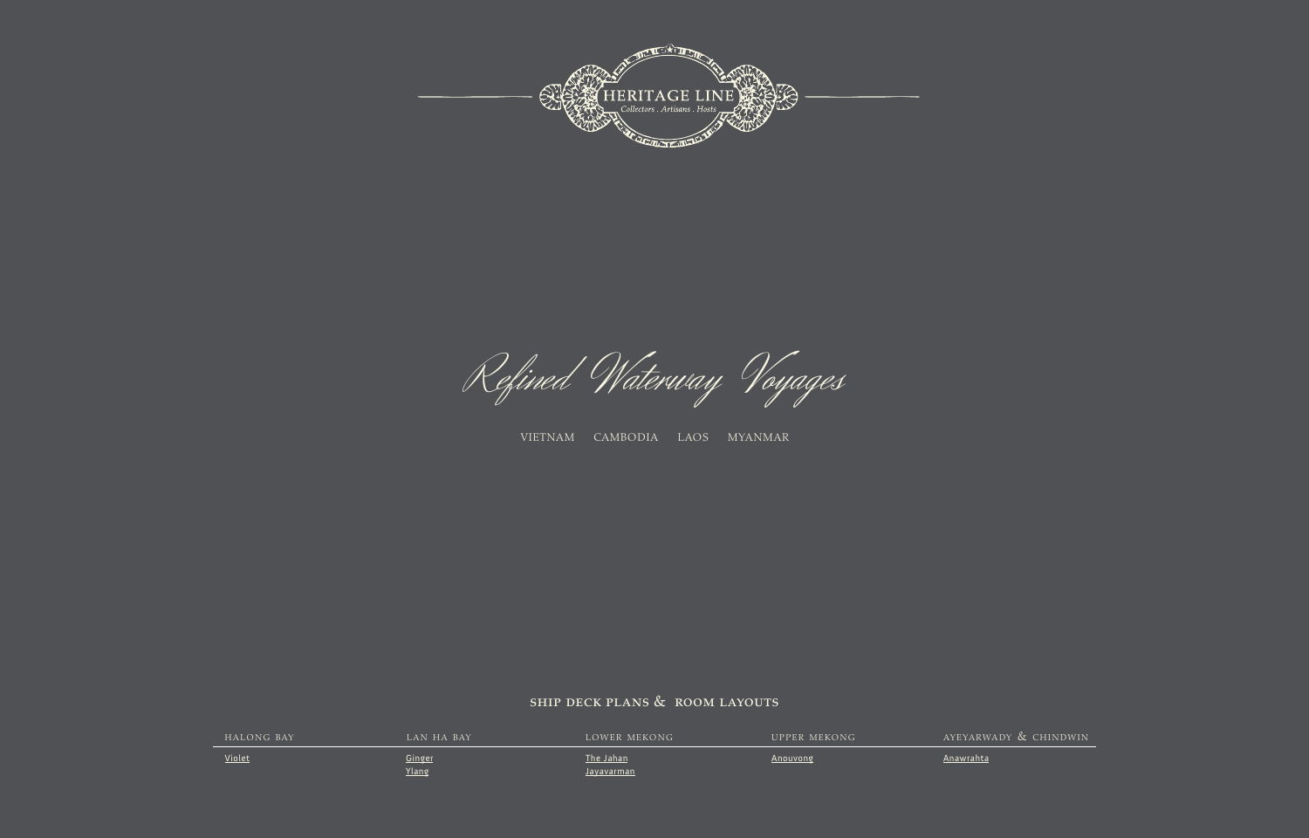

Refined Waterway Voyages

vietnam cambodia laos myanmar

## ship deck plans & room layouts

| HALONG BAY | LAN HA BAY   | LOWER MEKONG | <b>UPPER MEKONG</b> | AYEYARWADY & CHINDWIN |
|------------|--------------|--------------|---------------------|-----------------------|
| Violet     | Ginger       | The Jahan    | Anouvong            | Anawrahta             |
|            | <u>Ylang</u> | Javavarman   |                     |                       |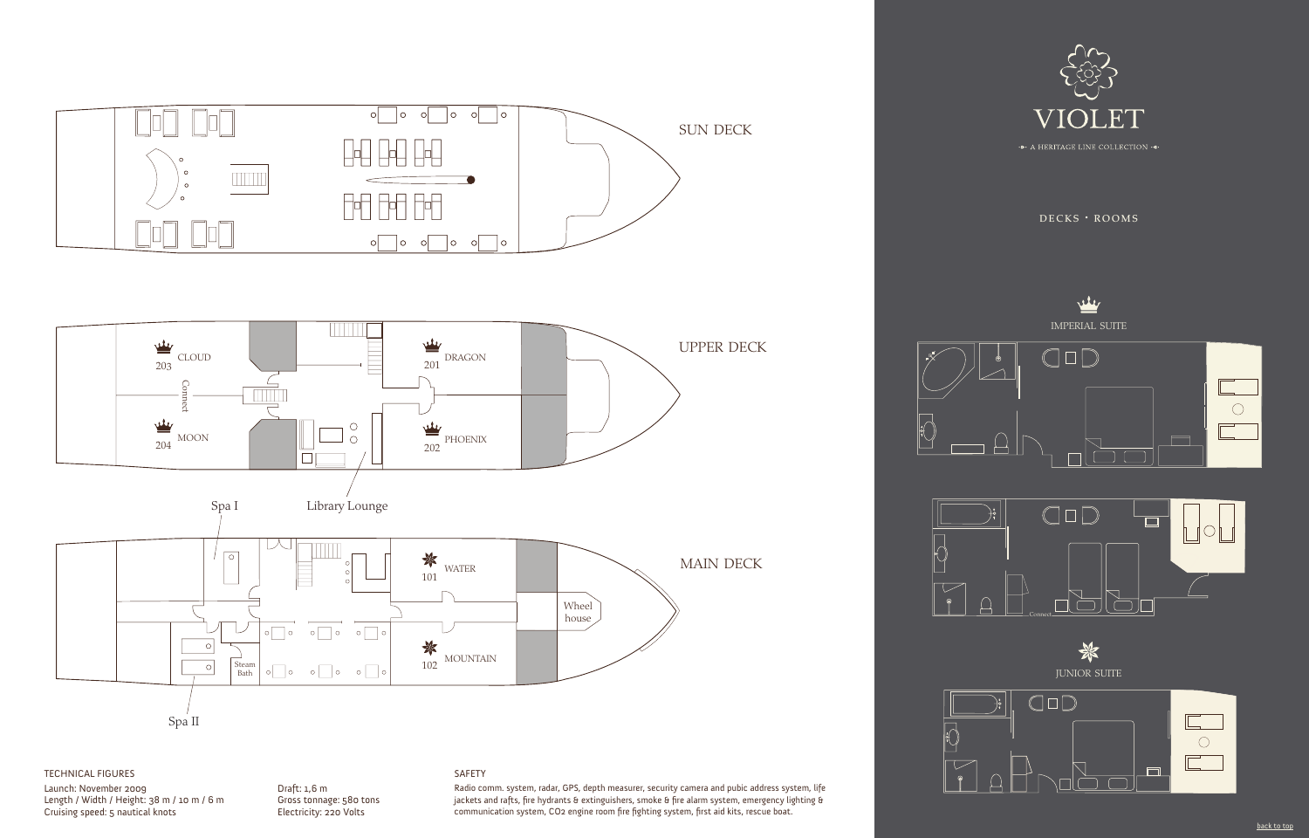



## TECHNICAL FIGURES

Launch: November 2009 Length / Width / Height: 38 m / 10 m / 6 m Cruising speed: 5 nautical knots

#### Draft: 1,6 m Gross tonnage: 580 tons Electricity: 220 Volts

#### SAFETY

Radio comm. system, radar, GPS, depth measurer, security camera and pubic address system, life jackets and rafts, fire hydrants & extinguishers, smoke & fire alarm system, emergency lighting & communication system, CO2 engine room fire fighting system, first aid kits, rescue boat.



 $DECKS$   $\cdot$  ROOMS







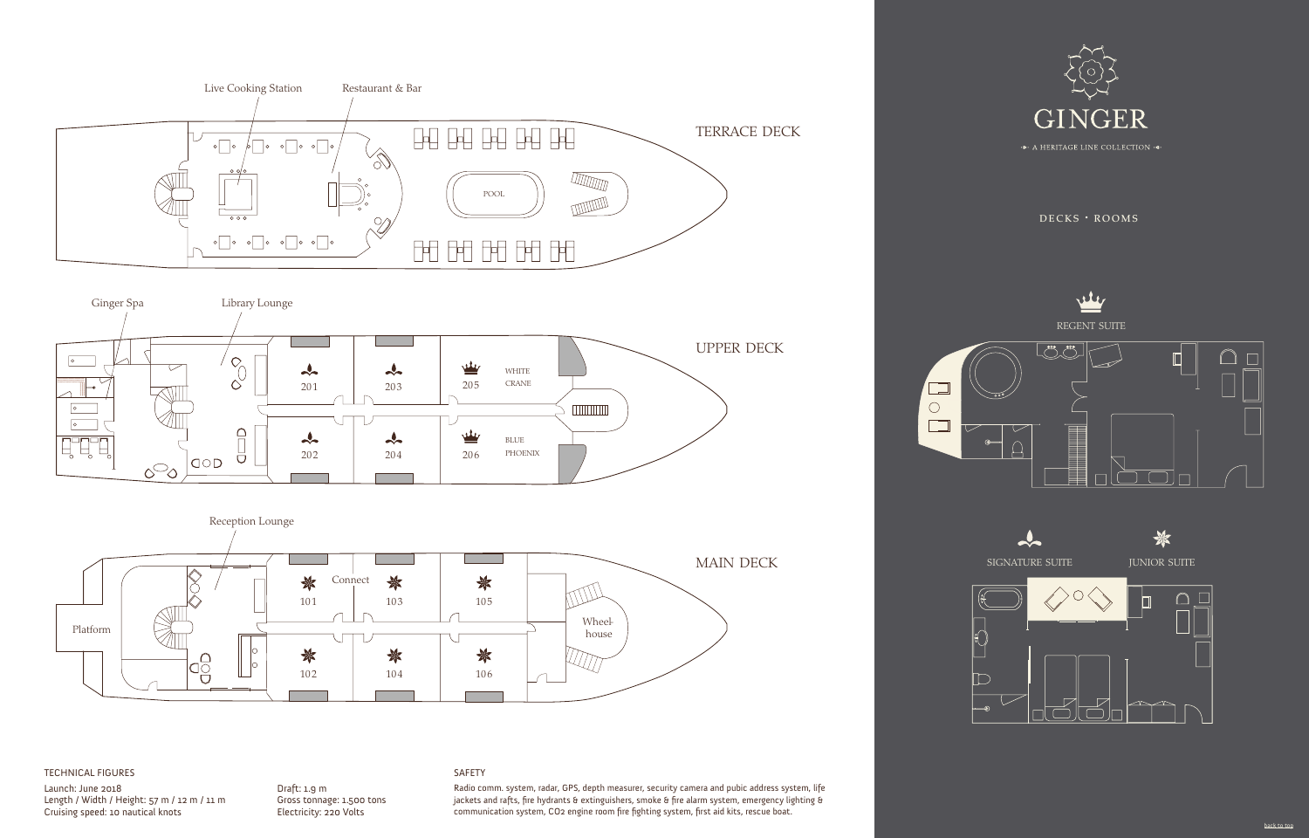





#### TECHNICAL FIGURES

Launch: June 2018 Length / Width / Height: 57 m / 12 m / 11 m Cruising speed: 10 nautical knots

SAFETY

Draft: 1.9 m

Gross tonnage: 1.500 tons Electricity: 220 Volts

Radio comm. system, radar, GPS, depth measurer, security camera and pubic address system, life jackets and rafts, fire hydrants & extinguishers, smoke & fire alarm system, emergency lighting & communication system, CO2 engine room fire fighting system, first aid kits, rescue boat.



 $DECKS$   $\cdot$  ROOMS



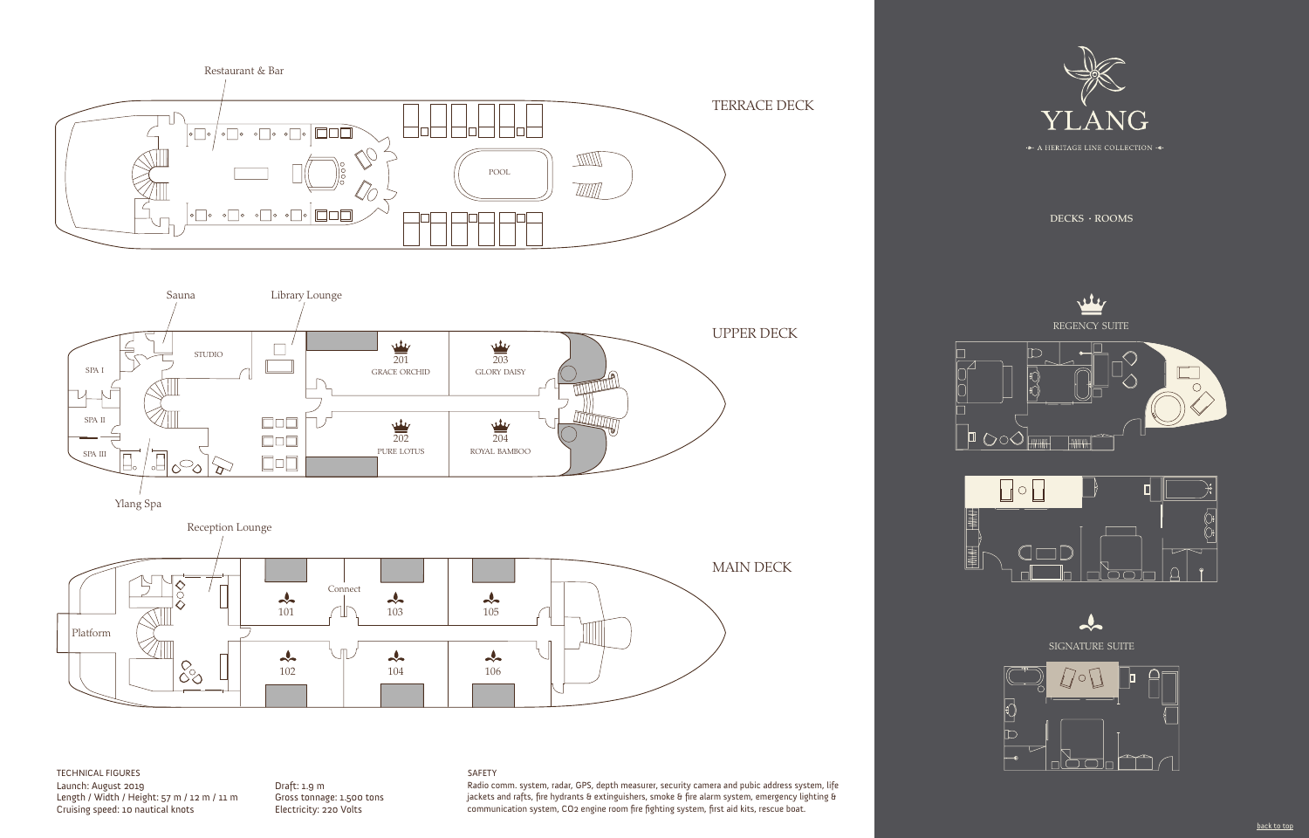



Ylang Spa



Launch: August 2019 Length / Width / Height: 57 m / 12 m / 11 m Cruising speed: 10 nautical knots TECHNICAL FIGURES SAFETY

Draft: 1.9 m Gross tonnage: 1.500 tons Electricity: 220 Volts

Radio comm. system, radar, GPS, depth measurer, security camera and pubic address system, life jackets and rafts, fire hydrants & extinguishers, smoke & fire alarm system, emergency lighting & communication system, CO2 engine room fire fighting system, first aid kits, rescue boat.



DECKS · ROOMS





 $\frac{1}{2}$ signature suite m

ugo

C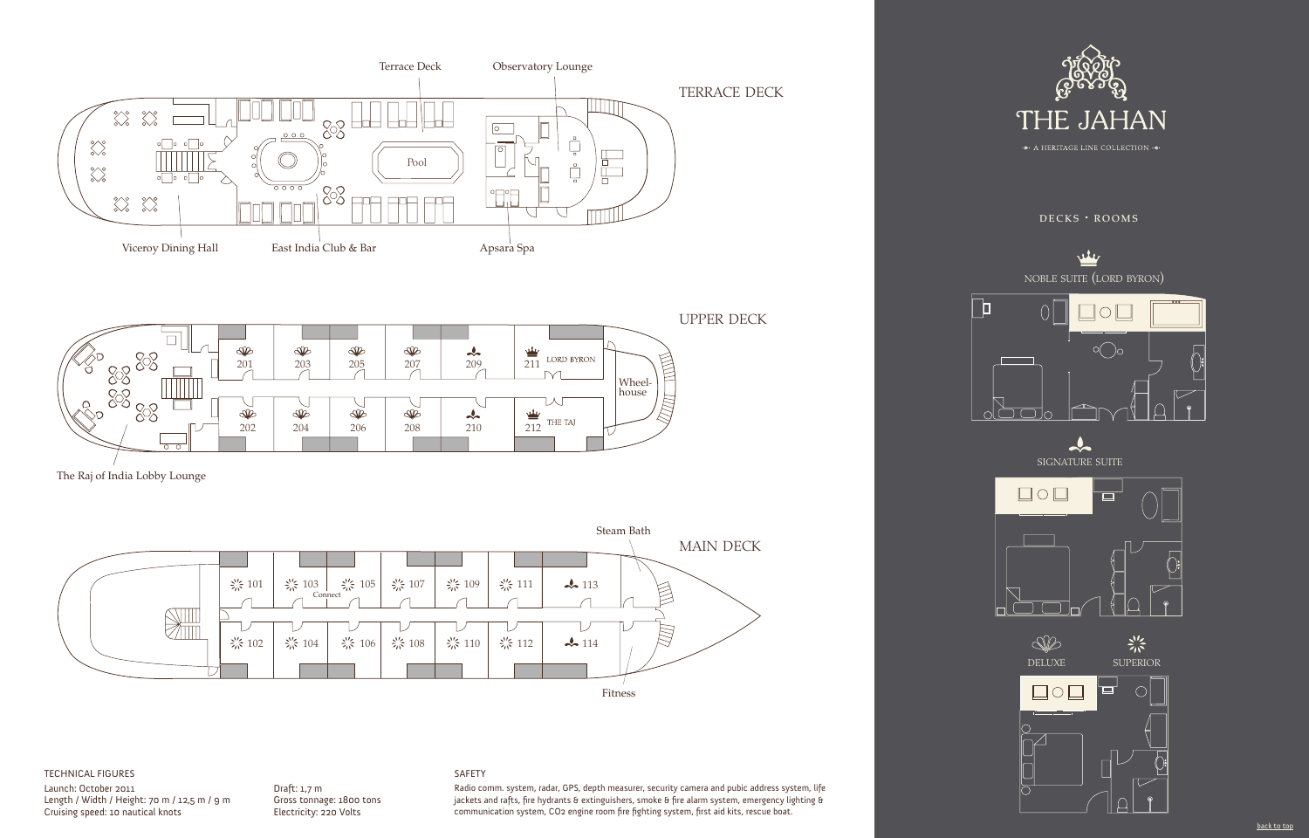



The Raj of India Lobby Lounge



#### TECHNICAL FIGURES

Launch: October 2011 Length / Width / Height: 70 m / 12,5 m / 9 m Cruising speed: 10 nautical knots

#### Draft: 1,7 m Gross tonnage: 1800 tons Electricity: 220 Volts

#### SAFETY

Radio comm. system, radar, GPS, depth measurer, security camera and pubic address system, life jackets and rafts, fire hydrants & extinguishers, smoke & fire alarm system, emergency lighting & communication system, CO2 engine room fire fighting system, first aid kits, rescue boat.





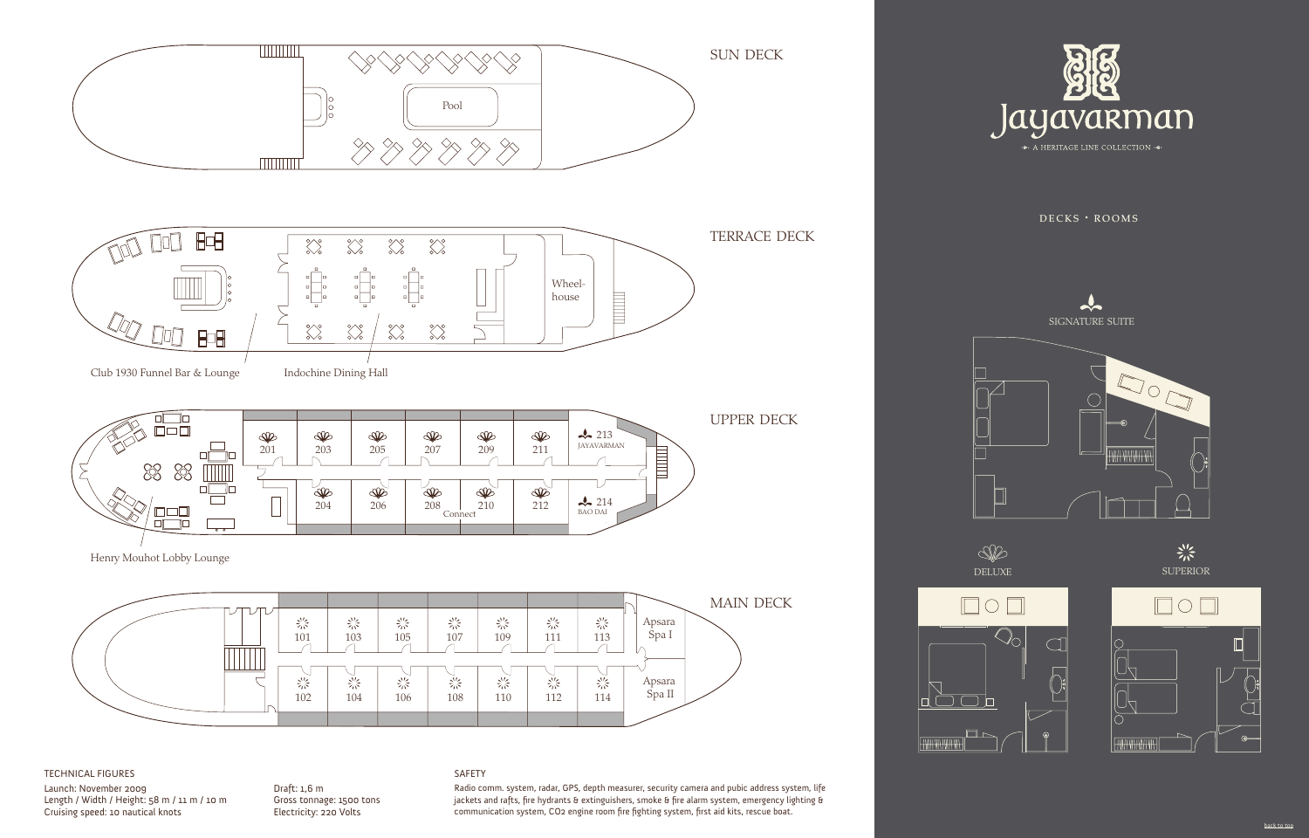

#### TECHNICAL FIGURES

Launch: November 2009 Length / Width / Height: 58 m / 11 m / 10 m Cruising speed: 10 nautical knots

#### Draft: 1,6 m Gross tonnage: 1500 tons Electricity: 220 Volts

#### SAFETY

Radio comm. system, radar, GPS, depth measurer, security camera and pubic address system, life jackets and rafts, fire hydrants & extinguishers, smoke & fire alarm system, emergency lighting & communication system, CO2 engine room fire fighting system, first aid kits, rescue boat.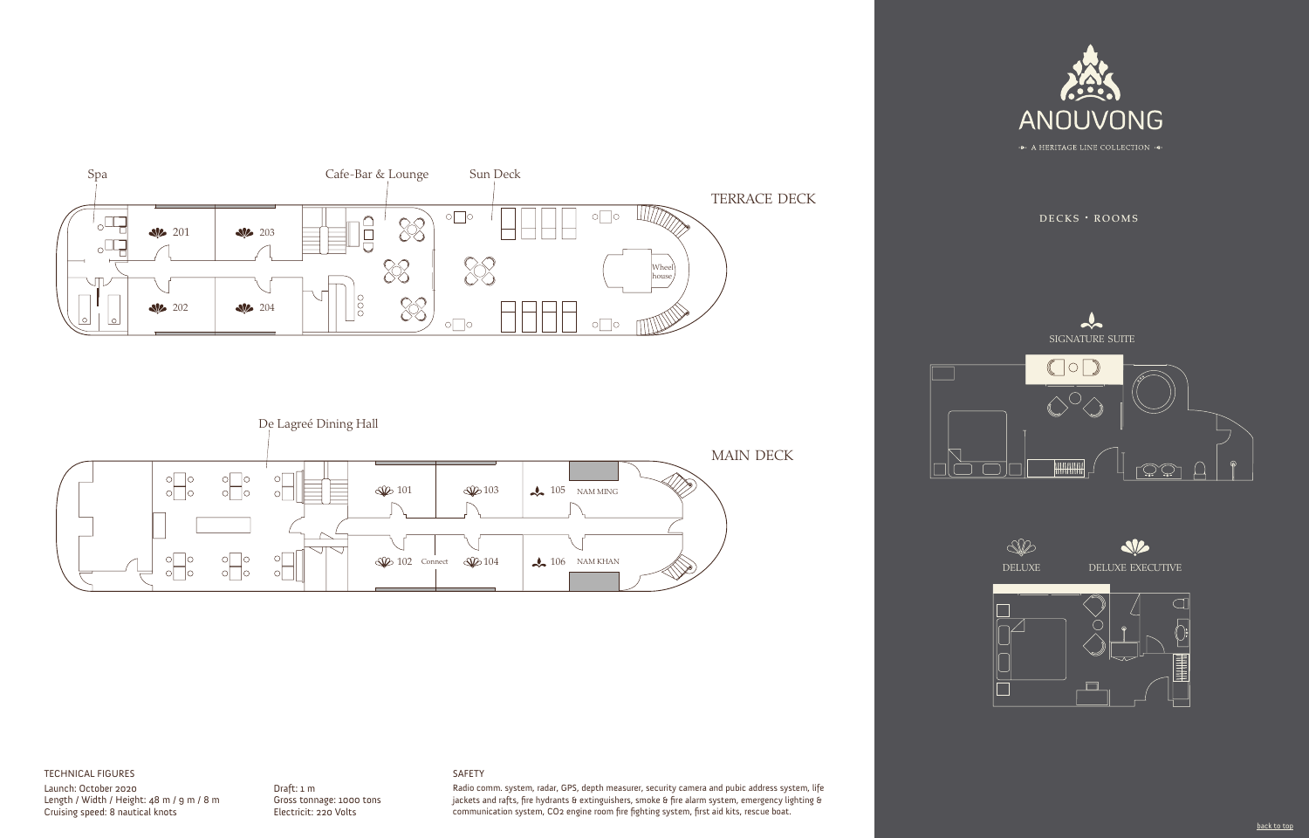

 $DECKS$   $\cdot$  ROOMS





# $\frac{1}{2}$ signature suite  $\bigcirc$ HHHHHH ڻ پڻ





#### TECHNICAL FIGURES

Launch: October 2020 Length / Width / Height: 48 m / 9 m / 8 m Cruising speed: 8 nautical knots

#### Draft: 1 m Gross tonnage: 1000 tons Electricit: 220 Volts

#### SAFETY

Radio comm. system, radar, GPS, depth measurer, security camera and pubic address system, life jackets and rafts, fire hydrants & extinguishers, smoke & fire alarm system, emergency lighting & communication system, CO2 engine room fire fighting system, first aid kits, rescue boat.